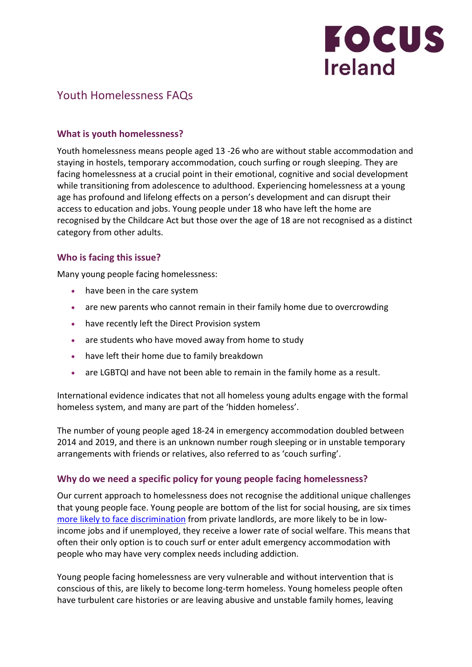

# Youth Homelessness FAQs

### **What is youth homelessness?**

Youth homelessness means people aged 13 -26 who are without stable accommodation and staying in hostels, temporary accommodation, couch surfing or rough sleeping. They are facing homelessness at a crucial point in their emotional, cognitive and social development while transitioning from adolescence to adulthood. Experiencing homelessness at a young age has profound and lifelong effects on a person's development and can disrupt their access to education and jobs. Young people under 18 who have left the home are recognised by the Childcare Act but those over the age of 18 are not recognised as a distinct category from other adults.

### **Who is facing this issue?**

Many young people facing homelessness:

- have been in the care system
- are new parents who cannot remain in their family home due to overcrowding
- have recently left the Direct Provision system
- are students who have moved away from home to study
- have left their home due to family breakdown
- are LGBTQI and have not been able to remain in the family home as a result.

International evidence indicates that not all homeless young adults engage with the formal homeless system, and many are part of the 'hidden homeless'.

The number of young people aged 18-24 in emergency accommodation doubled between 2014 and 2019, and there is an unknown number rough sleeping or in unstable temporary arrangements with friends or relatives, also referred to as 'couch surfing'.

### **Why do we need a specific policy for young people facing homelessness?**

Our current approach to homelessness does not recognise the additional unique challenges that young people face. Young people are bottom of the list for social housing, are six times [more likely to face discrimination](https://www.ihrec.ie/app/uploads/2018/06/Discrimination-and-Inequality-in-Housing-in-Ireland..pdf) from private landlords, are more likely to be in lowincome jobs and if unemployed, they receive a lower rate of social welfare. This means that often their only option is to couch surf or enter adult emergency accommodation with people who may have very complex needs including addiction.

Young people facing homelessness are very vulnerable and without intervention that is conscious of this, are likely to become long-term homeless. Young homeless people often have turbulent care histories or are leaving abusive and unstable family homes, leaving